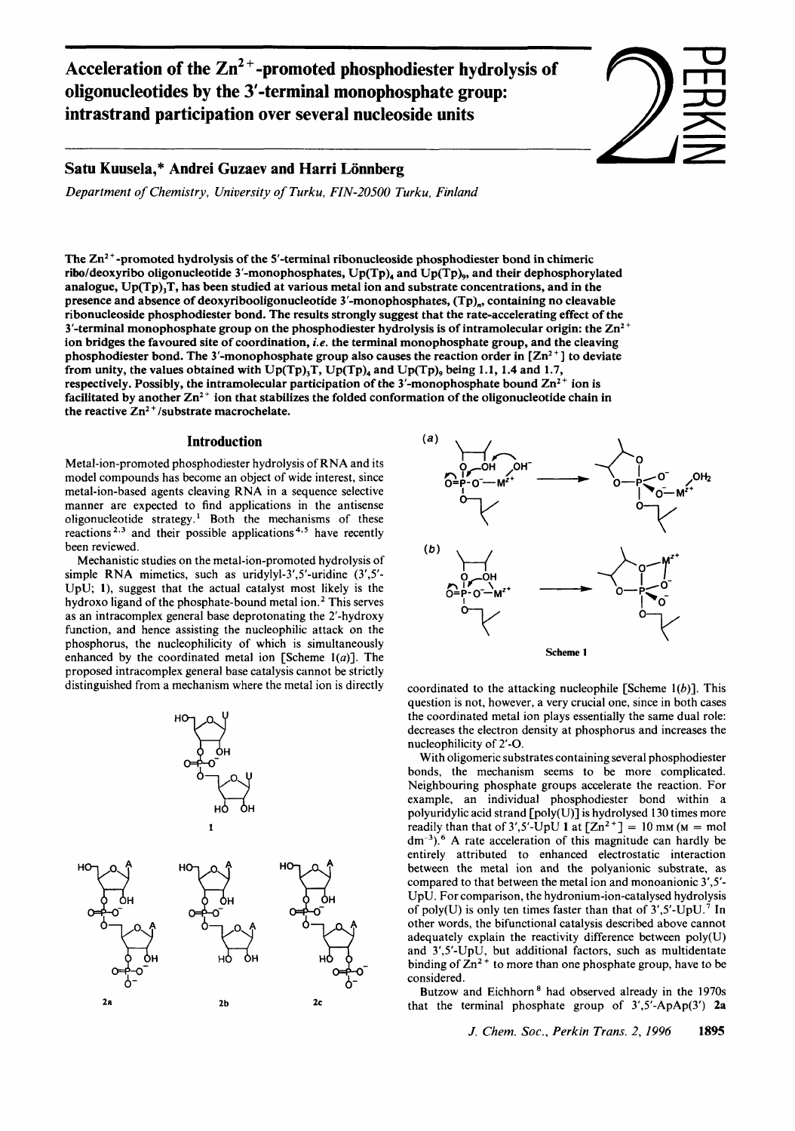Acceleration of the Zn<sup>2+</sup>-promoted phosphodiester hydrolysis of oligonucleotides by the 3'-terminal monophosphate group: **intrastrand participation over several nucleoside units** 

# Satu Kuusela,\* Andrei Guzaev and Harri Lönnberg

*Department of Chemistry, University of Turku, FIN-20500 Turku, Finland* 

The  $Zn^2$  -promoted hydrolysis of the 5'-terminal ribonucleoside phosphodiester bond in chimeric ribo/deoxyribo oligonucleotide 3'-monophosphates, Up(Tp), and Up(Tp),, and their dephosphorylated analogue,  $Up(Tp)$ , T, has been studied at various metal ion and substrate concentrations, and in the presence and absence of deoxyribooligonucleotide 3'-monophosphates, (Tp),, containing no cleavable ribonucleoside phosphodiester bond. The results strongly suggest that the rate-accelerating effect of the 3'-terminal monophosphate group on the phosphodiester hydrolysis is of intramolecular origin: the  $Zn^2$ <sup>+</sup> ion bridges the favoured site of coordination, *i.e.* the terminal monophosphate group, and the cleaving phosphodiester bond. The 3'-monophosphate group also causes the reaction order in  $[\text{Zn}^2]$  to deviate from unity, the values obtained with Up(Tp),T, Up(Tp), and Up(Tp), being **1.1, 1.4** and **1.7,**  respectively. Possibly, the intramolecular participation of the 3'-monophosphate bound  $\mathbb{Z}n^{2+}$  ion is facilitated by another  $Zn^{2+}$  ion that stabilizes the folded conformation of the oligonucleotide chain in the reactive  $Zn^{2+}/$ substrate macrochelate.

### **Introduction**

Metal-ion-promoted phosphodiester hydrolysis of RNA and its model compounds has become an object of wide interest, since metal-ion-based agents cleaving RNA in a sequence selective manner are expected to find applications in the antisense oligonucleotide strategy.<sup>1</sup> Both the mechanisms of these reactions **2\*3** and their possible applications **4\*5** have recently been reviewed.

Mechanistic studies on the metal-ion-promoted hydrolysis of simple RNA mimetics, such as uridylyl-3',5'-uridine  $(3',5')$ -UpU; **l),** suggest that the actual catalyst most likely is the hydroxo ligand of the phosphate-bound metal ion.<sup>2</sup> This serves as an intracomplex general base deprotonating the 2'-hydroxy function, and hence assisting the nucleophilic attack on the phosphorus, the nucleophilicity of which is simultaneously enhanced by the coordinated metal ion [Scheme  $1(a)$ ]. The proposed intracomplex general base catalysis cannot be strictly distinguished from a mechanism where the metal ion is directly





 $\frac{1}{\sqrt{2}}$ —<br>— D<br>文<br>文 HR<br><br><br><br><br><br><br><br><br><br><br><br><br>

**z**<br>2<br>2

**IDERKIN** 

coordinated to the attacking nucleophile [Scheme  $1(b)$ ]. This question is not, however, a very crucial one, since in both cases the coordinated metal ion plays essentially the same dual role: decreases the electron density at phosphorus and increases the nucleophilicity of 2'-0.

With oligomeric substrates containing several phosphodiester bonds, the mechanism seems to be more complicated. Neighbouring phosphate groups accelerate the reaction. For example, an individual phosphodiester bond within a polyuridylic acid strand [poly(U)] **is** hydrolysed 130 times more readily than that of  $3'$ ,  $5'$ -UpU 1 at  $[Zn^2^+] = 10$  mm ( $M =$  mol  $dm^{-3}$ ).<sup>6</sup> A rate acceleration of this magnitude can hardly be entirely attributed to enhanced electrostatic interaction between the metal ion and the polyanionic substrate, as compared to that between the metal ion and monoanionic 3',5'-UpU. For comparison, the hydronium-ion-catalysed hydrolysis of poly(U) is only ten times faster than that of  $3'$ ,  $5'$ -UpU.<sup>7</sup> In other words, the bifunctional catalysis described above cannot adequately explain the reactivity difference between poly(U) and 3',5'-UpU, but additional factors, such as multidentate binding of  $\text{Zn}^2$ <sup>+</sup> to more than one phosphate group, have to be considered.

Butzow and Eichhorn<sup>8</sup> had observed already in the 1970s that the terminal phosphate group of 3',5'-ApAp(3') **2a**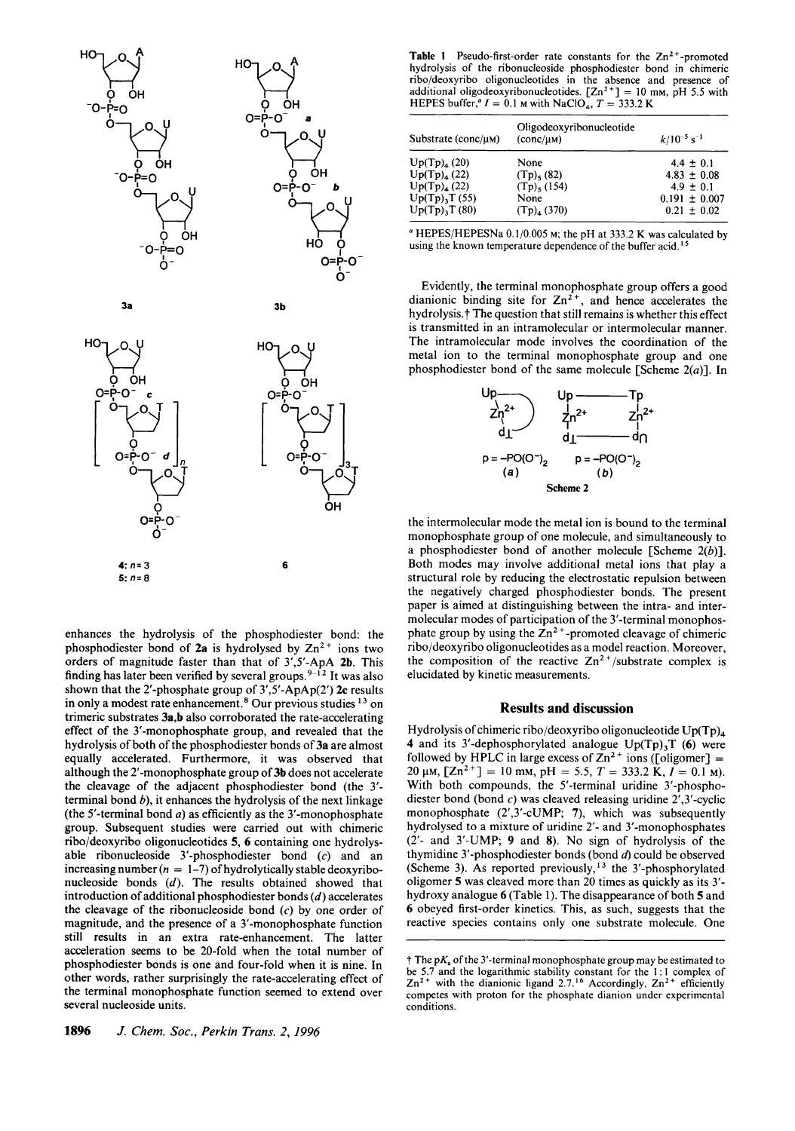



enhances the hydrolysis of the phosphodiester bond: the phosphodiester bond of  $2a$  is hydrolysed by  $Zn^{2+}$  ions two orders of magnitude faster than that of 3',5'-ApA **2b.** This finding has later been verified by several groups.<sup>9-12</sup> It was also shown that the 2'-phosphate group of 3',5'-ApAp(2') **2c** results in only a modest rate enhancement.<sup>8</sup> Our previous studies <sup>13</sup> on trimeric substrates **3a,b** also corroborated the rate-accelerating effect of the 3'-monophosphate group, and revealed that the hydrolysis of both of the phosphodiester bonds of **3a** are almost equally accelerated. Furthermore, it was observed that although the 2'-monophosphate group of **3b** does not accelerate the cleavage of the adjacent phosphodiester bond (the 3' terminal bond *b),* it enhances the hydrolysis of the next linkage (the 5'-terminal bond *a)* as efficiently as the 3'-monophosphate group. Subsequent studies were carried out with chimeric ribo/deoxyribo oligonucleotides **5,** *6* containing one hydrolysable ribonucleoside 3'-phosphodiester bond (c) and an increasing number  $(n = 1-7)$  of hydrolytically stable deoxyribonucleoside bonds *(d).* The results obtained showed that introduction of additional phosphodiester bonds *(d)* accelerates the cleavage of the ribonucleoside bond  $(c)$  by one order of magnitude, and the presence of a 3'-monophosphate function still results in an extra rate-enhancement. The latter acceleration seems to be 20-fold when the total number of phosphodiester bonds is one and four-fold when it is nine. In other words, rather surprisingly the rate-accelerating effect of the terminal monophosphate function seemed to extend over several nucleoside units.

**1896** *J. Chem. Soc., Perkin Trans. 2,1996* 

Table 1 Pseudo-first-order rate constants for the Zn<sup>2+</sup>-promoted **hydrolysis of the ribonucleoside phosphodiester bond in chimeric**  ribo/deoxyribo oligonucleotides in the absence and presence of additional oligodeoxyribonucleotides.  $[Zn^2^+] = 10$  mm, pH 5.5 with

| P=0                                                                 | υH                      | FILE ES OUTIEI, $I = 0.1$ M with NaCiO <sub>4</sub> , $I = 333.2$ N                                                                                     |                                                                    |                                                                                           |
|---------------------------------------------------------------------|-------------------------|---------------------------------------------------------------------------------------------------------------------------------------------------------|--------------------------------------------------------------------|-------------------------------------------------------------------------------------------|
| о-                                                                  | $O=PP-O$<br>a<br>0.     | Substrate ( $conc/\mu$ M)                                                                                                                               | Oligodeoxyribonucleotide<br>$(conc/\mu M)$                         | $k/10^{-5}$ s <sup>-1</sup>                                                               |
| ОН<br>$-0$ -P=0                                                     | ОН<br>$O = P - O$<br>Ω. | Up(Tp) <sub>4</sub> (20)<br>$Up(Tp)_{4} (22)$<br>$Up(Tp)_{4}(22)$<br>$Up(Tp)$ <sub>3</sub> T (55)<br>$Up(Tp)_{3}T(80)$                                  | None<br>$(Tp)$ , (82)<br>$(Tp)$ , (154)<br>None<br>$(Tp)_{4}(370)$ | $4.4 \pm 0.1$<br>$4.83 \pm 0.08$<br>$4.9 \pm 0.1$<br>$0.191 \pm 0.007$<br>$0.21 \pm 0.02$ |
| он<br>но<br><sup>−</sup> 0−P=0<br>$\Omega = P - \Omega$<br>$\sim$ - |                         | <sup>a</sup> HEPES/HEPESNa 0.1/0.005 m; the pH at 333.2 K was calculated by<br>using the known temperature dependence of the buffer acid. <sup>15</sup> |                                                                    |                                                                                           |

**using the known temperature dependence of the buffer acid.<sup>15</sup><br>= O** 

Evidently, the terminal monophosphate group offers a good dianionic binding site for  $Zn^{2+}$ , and hence accelerates the hydrolysis.<sup>†</sup> The question that still remains is whether this effect is transmitted in an intramolecular or intermolecular manner. The intramolecular mode involves the coordination of the metal ion to the terminal monophosphate group and one phosphodiester bond of the same molecule [Scheme  $2(a)$ ]. In



the intermolecular mode the metal ion is bound to the terminal monophosphate group of one molecule, and simultaneously to a phosphodiester bond of another molecule [Scheme  $2(b)$ ]. Both modes may involve additional metal ions that play a structural role by reducing the electrostatic repulsion between the negatively charged phosphodiester bonds. The present paper is aimed at distinguishing between the intra- and intermolecular modes of participation of the 3'-terminal monophosphate group by using the  $Zn^2$ <sup>+</sup>-promoted cleavage of chimeric ribo/deoxyribo oligonucleotides as a model reaction. Moreover, the composition of the reactive  $Zn^{2+}/$ substrate complex is elucidated by kinetic measurements.

#### **Results and discussion**

Hydrolysis of chimeric ribo/deoxyribo oligonucleotide Up(Tp), **4** and its 3'-dephosphorylated analogue Up(Tp),T *(6)* were followed by HPLC in large excess of  $\text{Zn}^2$ <sup>+</sup> ions ([oligomer] = 20  $\mu$ M,  $[Zn^{2+}] = 10$  mM,  $pH = 5.5$ ,  $T = 333.2$  K,  $I = 0.1$  M). With both compounds, the 5'-terminal uridine 3'-phosphodiester bond (bond  $c$ ) was cleaved releasing uridine  $2^{\prime}, 3^{\prime}$ -cyclic monophosphate (2',3'-cUMP; **7),** which was subsequently hydrolysed to a mixture of uridine 2'- and 3'-monophosphates (2'- and 3'-UMP; **9** and **8).** No sign of hydrolysis of the thymidine 3'-phosphodiester bonds (bond *6)* could be observed (Scheme 3). As reported previously,<sup>13</sup> the 3'-phosphorylated oligomer **5** was cleaved more than 20 times as quickly as its 3' hydroxy analogue *6* (Table 1). The disappearance of both *5* and *6* obeyed first-order kinetics. This, as such, suggests that the reactive species contains only one substrate molecule. One

 $\dagger$  The  $pK_a$  of the 3'-terminal monophosphate group may be estimated to **be 5.7 and the logarithmic stability constant** for **the 1** : **1 complex of**   $\text{Zn}^{2+}$  with the dianionic ligand 2.7.<sup>16</sup> Accordingly,  $\text{Zn}^{2+}$  efficiently **competes with proton for the phosphate dianion under experimental conditions.**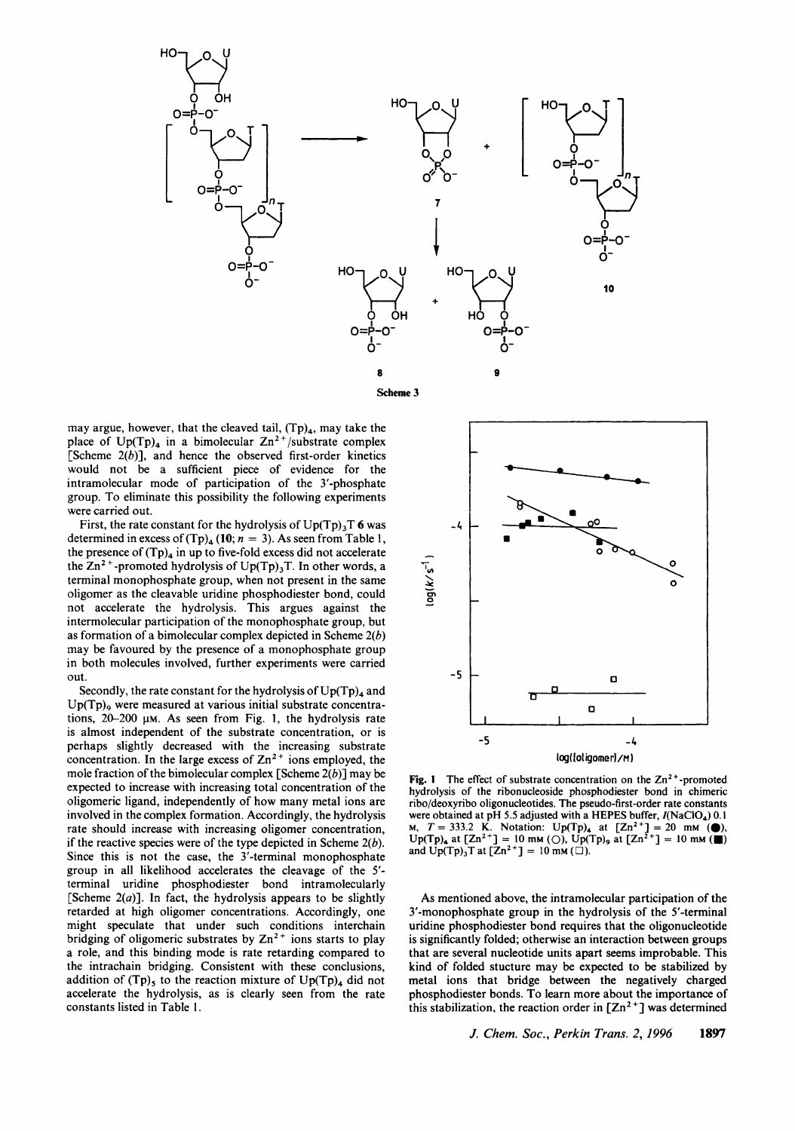

may argue, however, that the cleaved tail,  $(Tp)_4$ , may take the place of  $Up(Tp)_4$  in a bimolecular  $Zn^{2+}/substrate$  complex [Scheme *2(b)],* and hence the observed first-order kinetics would not be a sufficient piece of evidence for the intramolecular mode of participation of the 3'-phosphate group. To eliminate this possibility the following experiments were carried out.

First, the rate constant for the hydrolysis of Up(Tp),T *6* was determined in excess of  $(Tp)_{4}$  (10;  $n = 3$ ). As seen from Table 1, the presence of  $(Tp)_4$  in up to five-fold excess did not accelerate the  $\text{Zn}^2$ <sup>+</sup>-promoted hydrolysis of Up(Tp)<sub>3</sub>T. In other words, a terminal monophosphate group, when not present in the same oligomer as the cleavable uridine phosphodiester bond, could not accelerate the hydrolysis. This argues against the intermolecular participation of the monophosphate group, but as formation of a bimolecular complex depicted in Scheme *2(b)*  may be favoured by the presence of a monophosphate group in both molecules involved, further experiments were carried out.

Secondly, the rate constant for the hydrolysis of  $Up(Tp)<sub>4</sub>$  and  $Up(Tp)$ <sub>9</sub> were measured at various initial substrate concentrations,  $20-200 \mu M$ . As seen from Fig. 1, the hydrolysis rate is almost independent of the substrate concentration, or is perhaps slightly decreased with the increasing substrate concentration. In the large excess of  $\text{Zn}^2$ <sup>+</sup> ions employed, the mole fraction of the bimolecular complex [Scheme *2(b)]* may be expected to increase with increasing total concentration of the oligomeric ligand, independently of how many metal ions are involved in the complex formation. Accordingly, the hydrolysis rate should increase with increasing oligomer concentration, if the reactive species were of the type depicted in Scheme *2(b).*  Since this is not the case, the 3'-terminal monophosphate group in all likelihood accelerates the cleavage of the *5'*  terminal uridine phosphodiester bond intramolecularly [Scheme *2(a)].* In fact, the hydrolysis appears to be slightly retarded at high oligomer concentrations. Accordingly, one might speculate that under such conditions interchain bridging of oligomeric substrates by  $Zn^{2+}$  ions starts to play a role, and this binding mode is rate retarding compared to the intrachain bridging. Consistent with these conclusions, addition of  $(Tp)$ , to the reaction mixture of  $Up(Tp)_4$  did not accelerate the hydrolysis, as is clearly seen from the rate constants listed in Table 1.



**Fig. 1** The effect of substrate concentration on the Zn<sup>2+</sup>-promoted **hydrolysis** of **the ribonucleoside phosphodiester bond in chimeric ribo/deoxyribo oligonucleotides. The pseudo-first-order rate constants**  were obtained at pH 5.5 adjusted with a HEPES buffer,  $I(NaClO<sub>4</sub>)$  0.1 **M,**  $T = 333.2$  **K.** Notation:  $Up(Tp)_4$  at  $[Zn^{2+}] = 20$  mm (.)  $\text{Up(Tp)}_4$  at  $\text{[Zn}^{2+}\text{]} = 10 \text{ mm } (\bigcirc), \text{Up(Tp)}_9$  at  $\text{[Zn}^{2+}\text{]} = 10 \text{ mm } (\bigcirc)$  and  $\text{Up(Tp)}_3\text{T}$  at  $\text{[Zn}^{2+}\text{]} = 10 \text{ mm } (\bigcirc).$ 

As mentioned above, the intramolecular participation of the 3'-monophosphate group in the hydrolysis of the 5'-terminal uridine phosphodiester bond requires that the oligonucleotide is significantly folded; otherwise an interaction between groups that are several nucleotide units apart seems improbable. This kind of folded stucture may be expected to be stabilized by metal ions that bridge between the negatively charged phosphodiester bonds. To learn more about the importance of this stabilization, the reaction order in  $[\text{Zn}^2]$  was determined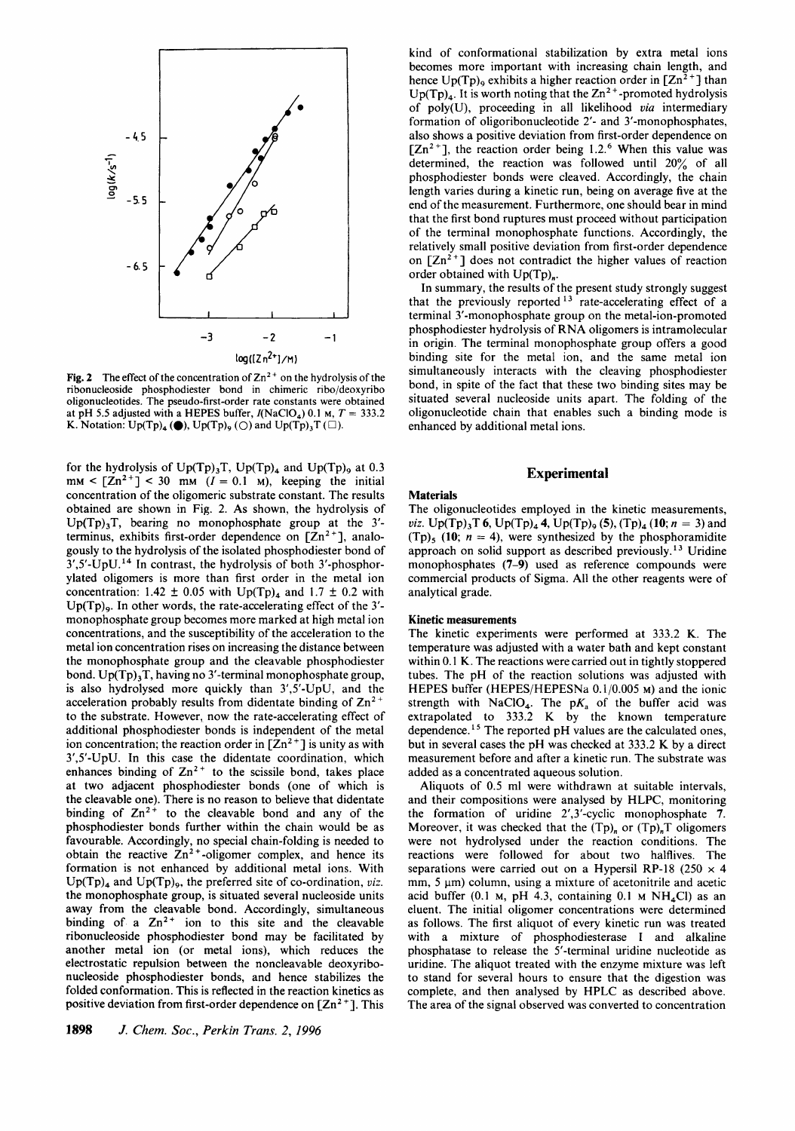

Fig. 2 The effect of the concentration of  $Zn^{2+}$  on the hydrolysis of the ribonucleoside phosphodiester bond in chimeric ribo/deoxyribo oligonucleotides. The pseudo-first-order rate constants were obtained at pH 5.5 adjusted with a HEPES buffer,  $I(NaClO<sub>4</sub>)$  0.1 m,  $T = 333.2$ **K.** Notation:  $Up(Tp)_4$  ( $\bigcirc$ ),  $Up(Tp)_9$  ( $\bigcirc$ ) and  $Up(Tp)_3T$  ( $\square$ ).

for the hydrolysis of  $Up(Tp)_{3}T$ ,  $Up(Tp)_{4}$  and  $Up(Tp)_{9}$  at 0.3  $mm < [Zn^{2+1}] < 30$  mm  $(I = 0.1$  M), keeping the initial concentration of the oligomeric substrate constant. The results obtained are shown in Fig. **2.** As shown, the hydrolysis of Up(Tp),T, bearing no monophosphate group at the 3' terminus, exhibits first-order dependence on  $[Zn^2^+]$ , analogously to the hydrolysis of the isolated phosphodiester bond of  $3'$ ,5'-UpU.<sup>14</sup> In contrast, the hydrolysis of both 3'-phosphorylated oligomers is more than first order in the metal ion concentration:  $1.42 \pm 0.05$  with  $Up(Tp)<sub>A</sub>$  and  $1.7 \pm 0.2$  with  $Up(Tp)_{9}$ . In other words, the rate-accelerating effect of the 3'monophosphate group becomes more marked at high metal ion concentrations, and the susceptibility of the acceleration to the metal ion concentration rises on increasing the distance between the monophosphate group and the cleavable phosphodiester bond.  $Up(Tp)$ , T, having no 3'-terminal monophosphate group, is also hydrolysed more quickly than 3',5'-UpU, and the acceleration probably results from didentate binding of  $Zn^2$ to the substrate. However, now the rate-accelerating effect of additional phosphodiester bonds is independent of the metal ion concentration; the reaction order in  $[Zn^2^+]$  is unity as with 3',5'-UpU. In this case the didentate coordination, which enhances binding of  $Zn^{2+}$  to the scissile bond, takes place at two adjacent phosphodiester bonds (one of which is the cleavable one). There is no reason to believe that didentate binding of  $Zn^{2+}$  to the cleavable bond and any of the phosphodiester bonds further within the chain would be as favourable. Accordingly, no special chain-folding is needed to obtain the reactive  $Zn^{2+}$ -oligomer complex, and hence its formation is not enhanced by additional metal ions. With Up(Tp)<sub>4</sub> and Up(Tp)<sub>9</sub>, the preferred site of co-ordination, *viz.* the monophosphate group, is situated several nucleoside units away from the cleavable bond. Accordingly, simultaneous binding of a  $Zn^{2+}$  ion to this site and the cleavable ribonucleoside phosphodiester bond may be facilitated by another metal ion (or metal ions), which reduces the electrostatic repulsion between the noncleavable deoxyribonucleoside phosphodiester bonds, and hence stabilizes the folded conformation. This is reflected in the reaction kinetics as positive deviation from first-order dependence on  $[ $2n^2$ ]<sup>+</sup>$ . This

kind of conformational stabilization by extra metal ions becomes more important with increasing chain length, and hence  $Up(Tp)_{9}$  exhibits a higher reaction order in  $[Zn^{2+}]$  than  $Up(Tp)<sub>4</sub>$ . It is worth noting that the  $Zn<sup>2+</sup>$ -promoted hydrolysis of poly(U), proceeding in all likelihood *via* intermediary formation of oligoribonucleotide **2'-** and 3'-monophosphates, also shows a positive deviation from first-order dependence on  $[Zn^{2+}]$ , the reaction order being 1.2.<sup>6</sup> When this value was determined, the reaction was followed until 20% of all phosphodiester bonds were cleaved. Accordingly, the chain length varies during a kinetic run, being on average five at the end of the measurement. Furthermore, one should bear in mind that the first bond ruptures must proceed without participation of the terminal monophosphate functions. Accordingly, the relatively small positive deviation from first-order dependence on  $[Zn^2]$  does not contradict the higher values of reaction order obtained with  $Up(Tp)<sub>n</sub>$ .

In summary, the results of the present study strongly suggest that the previously reported  $13$  rate-accelerating effect of a terminal 3'-monophosphate group on the metal-ion-promoted phosphodiester hydrolysis of RNA oligomers is intramolecular in origin. The terminal monophosphate group offers a good binding site for the metal ion, and the same metal ion simultaneously interacts with the cleaving phosphodiester bond, in spite of the fact that these two binding sites may be situated several nucleoside units apart. The folding of the oligonucleotide chain that enables such a binding mode is enhanced by additional metal ions.

## **Experimental**

# **Materials**

The oligonucleotides employed in the kinetic measurements, *viz.*  $Up(Tp)_{3}T$  **6**,  $Up(Tp)_{4}$  **4**,  $Up(Tp)_{9}$  **(5)**,  $(Tp)_{4}$  **(10**; *n* = 3) and  $(Tp)$ <sub>5</sub> (10;  $n = 4$ ), were synthesized by the phosphoramidite approach on solid support as described previously.<sup>13</sup> Uridine monophosphates **(7-9)** used as reference compounds were commercial products of Sigma. All the other reagents were of analytical grade.

## **Kinetic measurements**

The kinetic experiments were performed at 333.2 **K.** The temperature was adjusted with a water bath and kept constant within 0.1 **K.** The reactions were carried out in tightly stoppered tubes. The pH of the reaction solutions was adjusted with HEPES buffer (HEPES/HEPESNa 0.1/0.005 **M)** and the ionic strength with NaClO<sub>4</sub>. The  $pK_a$  of the buffer acid was extrapolated to 333.2 K by the known temperature dependence.<sup>15</sup> The reported  $pH$  values are the calculated ones, but in several cases the pH was checked at 333.2 **K** by a direct measurement before and after a kinetic run. The substrate was added as a concentrated aqueous solution.

Aliquots of 0.5 ml were withdrawn at suitable intervals, and their compositions were analysed by HLPC, monitoring the formation of uridine 2',3'-cyclic monophosphate **7.**  Moreover, it was checked that the  $(Tp)$ <sub>n</sub> or  $(Tp)$ <sub>n</sub>T oligomers were not hydrolysed under the reaction conditions. The reactions were followed for about two halflives. The separations were carried out on a Hypersil RP-18 (250  $\times$  4  $mm, 5 \mu m$ ) column, using a mixture of acetonitrile and acetic acid buffer (0.1 M, pH 4.3, containing 0.1 M NH<sub>4</sub>Cl) as an eluent. The initial oligomer concentrations were determined as follows. The first aliquot of every kinetic run was treated with a mixture of phosphodiesterase I and alkaline phosphatase to release the 5'-terminal uridine nucleotide as uridine. The aliquot treated with the enzyme mixture was left to stand for several hours to ensure that the digestion was complete, and then analysed by HPLC as described above. The area of the signal observed was converted to concentration